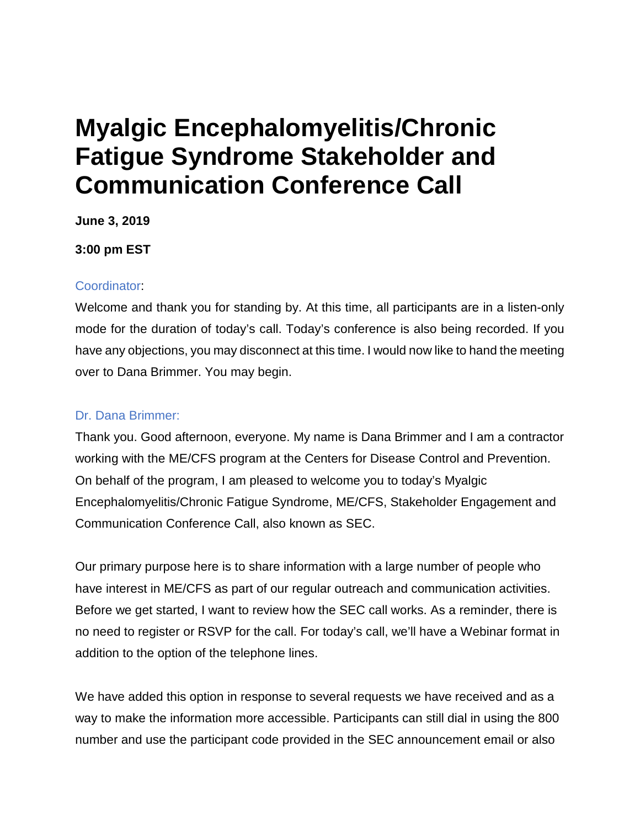# **Myalgic Encephalomyelitis/Chronic Fatigue Syndrome Stakeholder and Communication Conference Call**

**June 3, 2019** 

**3:00 pm EST** 

### Coordinator:

Welcome and thank you for standing by. At this time, all participants are in a listen-only mode for the duration of today's call. Today's conference is also being recorded. If you have any objections, you may disconnect at this time. I would now like to hand the meeting over to Dana Brimmer. You may begin.

# Dr. Dana Brimmer:

Thank you. Good afternoon, everyone. My name is Dana Brimmer and I am a contractor working with the ME/CFS program at the Centers for Disease Control and Prevention. On behalf of the program, I am pleased to welcome you to today's Myalgic Encephalomyelitis/Chronic Fatigue Syndrome, ME/CFS, Stakeholder Engagement and Communication Conference Call, also known as SEC.

Our primary purpose here is to share information with a large number of people who have interest in ME/CFS as part of our regular outreach and communication activities. Before we get started, I want to review how the SEC call works. As a reminder, there is no need to register or RSVP for the call. For today's call, we'll have a Webinar format in addition to the option of the telephone lines.

We have added this option in response to several requests we have received and as a way to make the information more accessible. Participants can still dial in using the 800 number and use the participant code provided in the SEC announcement email or also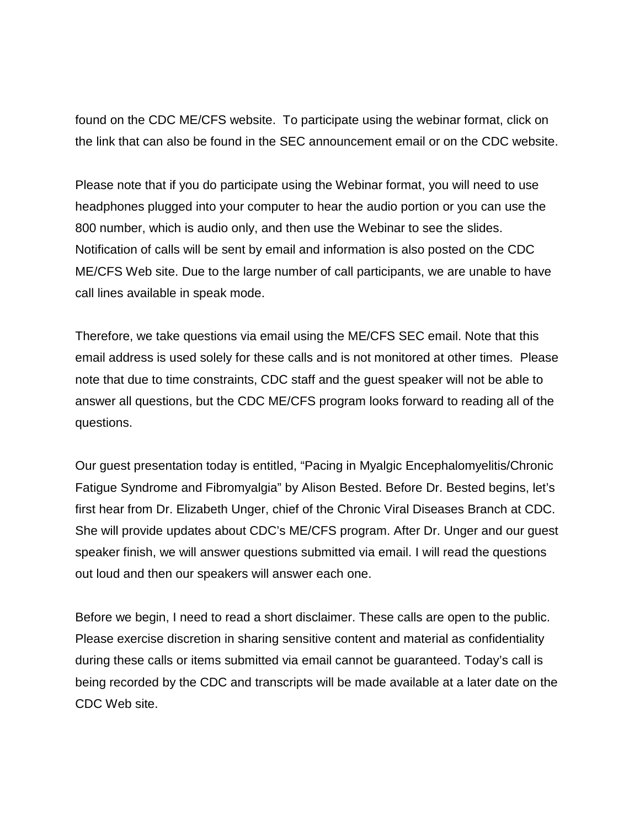found on the CDC ME/CFS website. To participate using the webinar format, click on the link that can also be found in the SEC announcement email or on the CDC website.

Please note that if you do participate using the Webinar format, you will need to use headphones plugged into your computer to hear the audio portion or you can use the 800 number, which is audio only, and then use the Webinar to see the slides. Notification of calls will be sent by email and information is also posted on the CDC ME/CFS Web site. Due to the large number of call participants, we are unable to have call lines available in speak mode.

Therefore, we take questions via email using the ME/CFS SEC email. Note that this email address is used solely for these calls and is not monitored at other times. Please note that due to time constraints, CDC staff and the guest speaker will not be able to answer all questions, but the CDC ME/CFS program looks forward to reading all of the questions.

Our guest presentation today is entitled, "Pacing in Myalgic Encephalomyelitis/Chronic Fatigue Syndrome and Fibromyalgia" by Alison Bested. Before Dr. Bested begins, let's first hear from Dr. Elizabeth Unger, chief of the Chronic Viral Diseases Branch at CDC. She will provide updates about CDC's ME/CFS program. After Dr. Unger and our guest speaker finish, we will answer questions submitted via email. I will read the questions out loud and then our speakers will answer each one.

Before we begin, I need to read a short disclaimer. These calls are open to the public. Please exercise discretion in sharing sensitive content and material as confidentiality during these calls or items submitted via email cannot be guaranteed. Today's call is being recorded by the CDC and transcripts will be made available at a later date on the CDC Web site.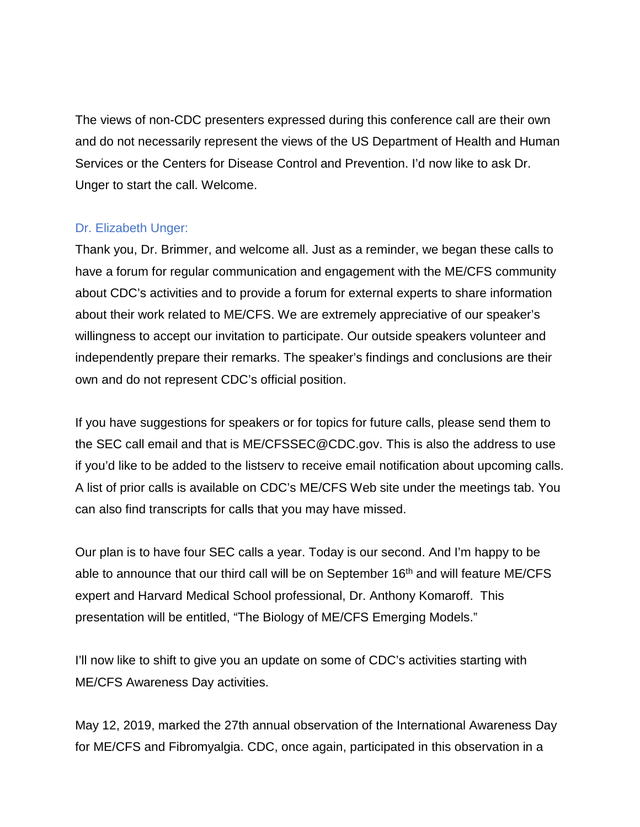The views of non-CDC presenters expressed during this conference call are their own and do not necessarily represent the views of the US Department of Health and Human Services or the Centers for Disease Control and Prevention. I'd now like to ask Dr. Unger to start the call. Welcome.

### Dr. Elizabeth Unger:

Thank you, Dr. Brimmer, and welcome all. Just as a reminder, we began these calls to have a forum for regular communication and engagement with the ME/CFS community about CDC's activities and to provide a forum for external experts to share information about their work related to ME/CFS. We are extremely appreciative of our speaker's willingness to accept our invitation to participate. Our outside speakers volunteer and independently prepare their remarks. The speaker's findings and conclusions are their own and do not represent CDC's official position.

If you have suggestions for speakers or for topics for future calls, please send them to the SEC call email and that is ME/CFSSEC@CDC.gov. This is also the address to use if you'd like to be added to the listserv to receive email notification about upcoming calls. A list of prior calls is available on CDC's ME/CFS Web site under the meetings tab. You can also find transcripts for calls that you may have missed.

Our plan is to have four SEC calls a year. Today is our second. And I'm happy to be able to announce that our third call will be on September 16<sup>th</sup> and will feature ME/CFS expert and Harvard Medical School professional, Dr. Anthony Komaroff. This presentation will be entitled, "The Biology of ME/CFS Emerging Models."

I'll now like to shift to give you an update on some of CDC's activities starting with ME/CFS Awareness Day activities.

May 12, 2019, marked the 27th annual observation of the International Awareness Day for ME/CFS and Fibromyalgia. CDC, once again, participated in this observation in a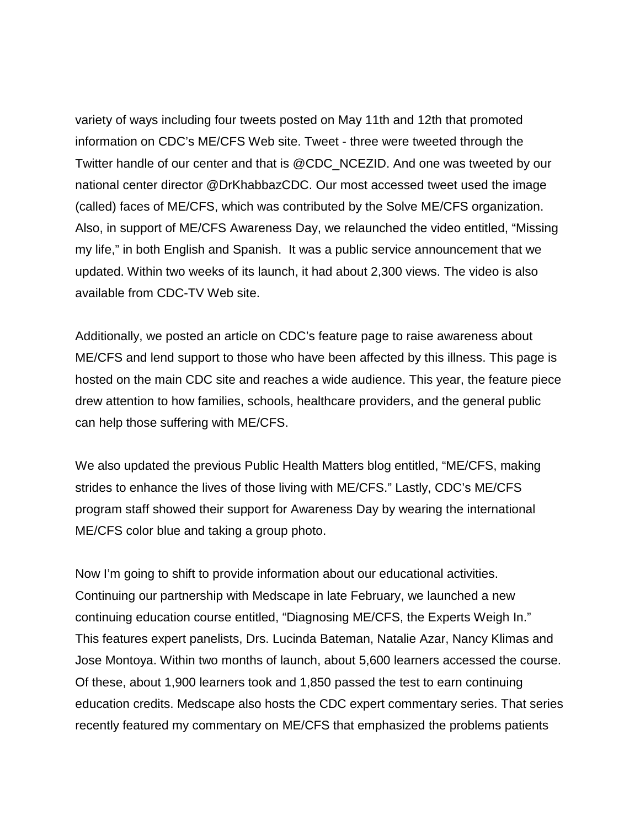variety of ways including four tweets posted on May 11th and 12th that promoted information on CDC's ME/CFS Web site. Tweet - three were tweeted through the Twitter handle of our center and that is @CDC\_NCEZID. And one was tweeted by our national center director @DrKhabbazCDC. Our most accessed tweet used the image (called) faces of ME/CFS, which was contributed by the Solve ME/CFS organization. Also, in support of ME/CFS Awareness Day, we relaunched the video entitled, "Missing my life," in both English and Spanish. It was a public service announcement that we updated. Within two weeks of its launch, it had about 2,300 views. The video is also available from CDC-TV Web site.

Additionally, we posted an article on CDC's feature page to raise awareness about ME/CFS and lend support to those who have been affected by this illness. This page is hosted on the main CDC site and reaches a wide audience. This year, the feature piece drew attention to how families, schools, healthcare providers, and the general public can help those suffering with ME/CFS.

We also updated the previous Public Health Matters blog entitled, "ME/CFS, making strides to enhance the lives of those living with ME/CFS." Lastly, CDC's ME/CFS program staff showed their support for Awareness Day by wearing the international ME/CFS color blue and taking a group photo.

Now I'm going to shift to provide information about our educational activities. Continuing our partnership with Medscape in late February, we launched a new continuing education course entitled, "Diagnosing ME/CFS, the Experts Weigh In." This features expert panelists, Drs. Lucinda Bateman, Natalie Azar, Nancy Klimas and Jose Montoya. Within two months of launch, about 5,600 learners accessed the course. Of these, about 1,900 learners took and 1,850 passed the test to earn continuing education credits. Medscape also hosts the CDC expert commentary series. That series recently featured my commentary on ME/CFS that emphasized the problems patients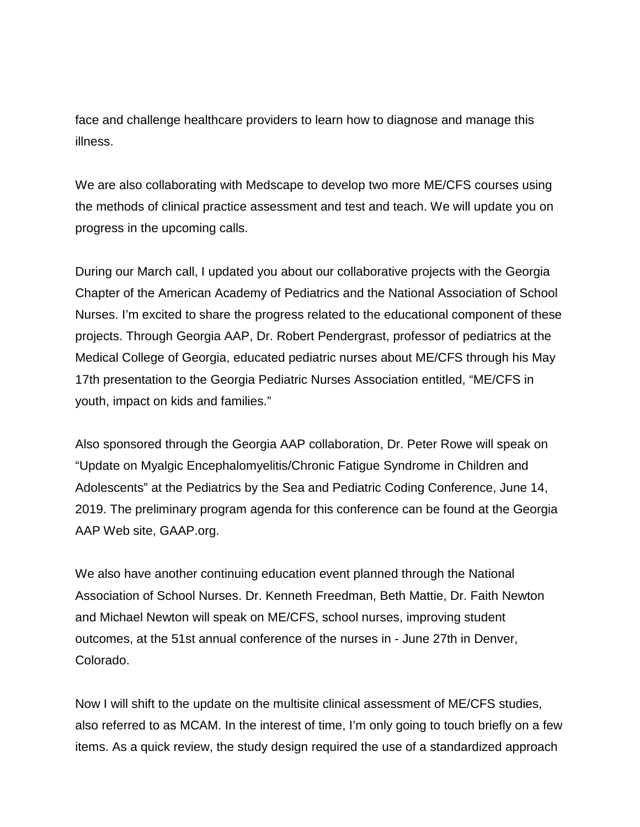face and challenge healthcare providers to learn how to diagnose and manage this illness.

We are also collaborating with Medscape to develop two more ME/CFS courses using the methods of clinical practice assessment and test and teach. We will update you on progress in the upcoming calls.

During our March call, I updated you about our collaborative projects with the Georgia Chapter of the American Academy of Pediatrics and the National Association of School Nurses. I'm excited to share the progress related to the educational component of these projects. Through Georgia AAP, Dr. Robert Pendergrast, professor of pediatrics at the Medical College of Georgia, educated pediatric nurses about ME/CFS through his May 17th presentation to the Georgia Pediatric Nurses Association entitled, "ME/CFS in youth, impact on kids and families."

Also sponsored through the Georgia AAP collaboration, Dr. Peter Rowe will speak on "Update on Myalgic Encephalomyelitis/Chronic Fatigue Syndrome in Children and Adolescents" at the Pediatrics by the Sea and Pediatric Coding Conference, June 14, 2019. The preliminary program agenda for this conference can be found at the Georgia AAP Web site, GAAP.org.

We also have another continuing education event planned through the National Association of School Nurses. Dr. Kenneth Freedman, Beth Mattie, Dr. Faith Newton and Michael Newton will speak on ME/CFS, school nurses, improving student outcomes, at the 51st annual conference of the nurses in - June 27th in Denver, Colorado.

Now I will shift to the update on the multisite clinical assessment of ME/CFS studies, also referred to as MCAM. In the interest of time, I'm only going to touch briefly on a few items. As a quick review, the study design required the use of a standardized approach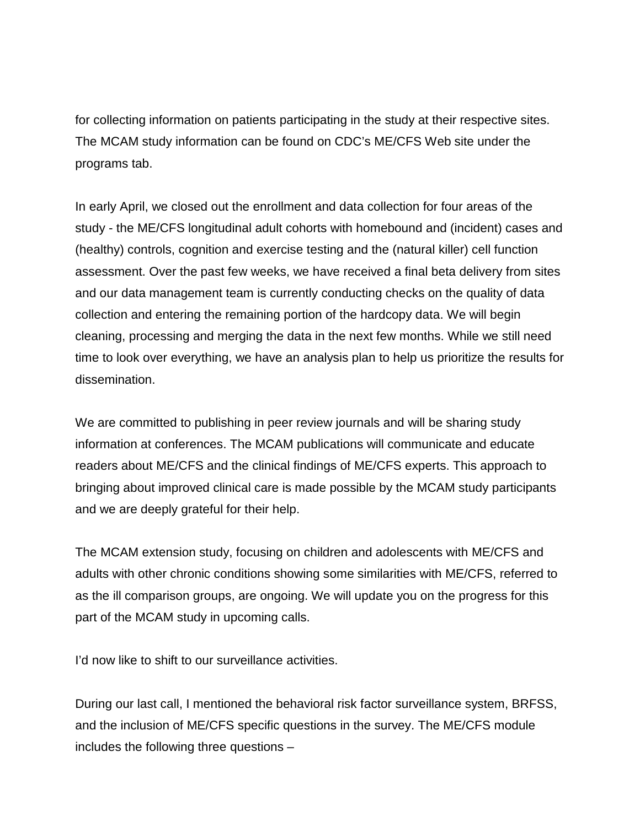for collecting information on patients participating in the study at their respective sites. The MCAM study information can be found on CDC's ME/CFS Web site under the programs tab.

In early April, we closed out the enrollment and data collection for four areas of the study - the ME/CFS longitudinal adult cohorts with homebound and (incident) cases and (healthy) controls, cognition and exercise testing and the (natural killer) cell function assessment. Over the past few weeks, we have received a final beta delivery from sites and our data management team is currently conducting checks on the quality of data collection and entering the remaining portion of the hardcopy data. We will begin cleaning, processing and merging the data in the next few months. While we still need time to look over everything, we have an analysis plan to help us prioritize the results for dissemination.

We are committed to publishing in peer review journals and will be sharing study information at conferences. The MCAM publications will communicate and educate readers about ME/CFS and the clinical findings of ME/CFS experts. This approach to bringing about improved clinical care is made possible by the MCAM study participants and we are deeply grateful for their help.

The MCAM extension study, focusing on children and adolescents with ME/CFS and adults with other chronic conditions showing some similarities with ME/CFS, referred to as the ill comparison groups, are ongoing. We will update you on the progress for this part of the MCAM study in upcoming calls.

I'd now like to shift to our surveillance activities.

During our last call, I mentioned the behavioral risk factor surveillance system, BRFSS, and the inclusion of ME/CFS specific questions in the survey. The ME/CFS module includes the following three questions –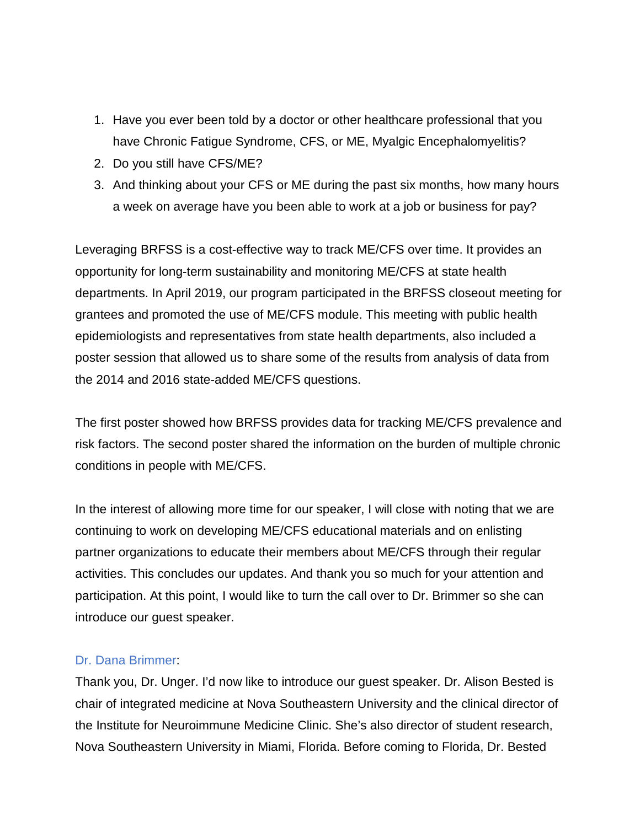- 1. Have you ever been told by a doctor or other healthcare professional that you have Chronic Fatigue Syndrome, CFS, or ME, Myalgic Encephalomyelitis?
- 2. Do you still have CFS/ME?
- 3. And thinking about your CFS or ME during the past six months, how many hours a week on average have you been able to work at a job or business for pay?

Leveraging BRFSS is a cost-effective way to track ME/CFS over time. It provides an opportunity for long-term sustainability and monitoring ME/CFS at state health departments. In April 2019, our program participated in the BRFSS closeout meeting for grantees and promoted the use of ME/CFS module. This meeting with public health epidemiologists and representatives from state health departments, also included a poster session that allowed us to share some of the results from analysis of data from the 2014 and 2016 state-added ME/CFS questions.

The first poster showed how BRFSS provides data for tracking ME/CFS prevalence and risk factors. The second poster shared the information on the burden of multiple chronic conditions in people with ME/CFS.

In the interest of allowing more time for our speaker, I will close with noting that we are continuing to work on developing ME/CFS educational materials and on enlisting partner organizations to educate their members about ME/CFS through their regular activities. This concludes our updates. And thank you so much for your attention and participation. At this point, I would like to turn the call over to Dr. Brimmer so she can introduce our guest speaker.

### Dr. Dana Brimmer:

Thank you, Dr. Unger. I'd now like to introduce our guest speaker. Dr. Alison Bested is chair of integrated medicine at Nova Southeastern University and the clinical director of the Institute for Neuroimmune Medicine Clinic. She's also director of student research, Nova Southeastern University in Miami, Florida. Before coming to Florida, Dr. Bested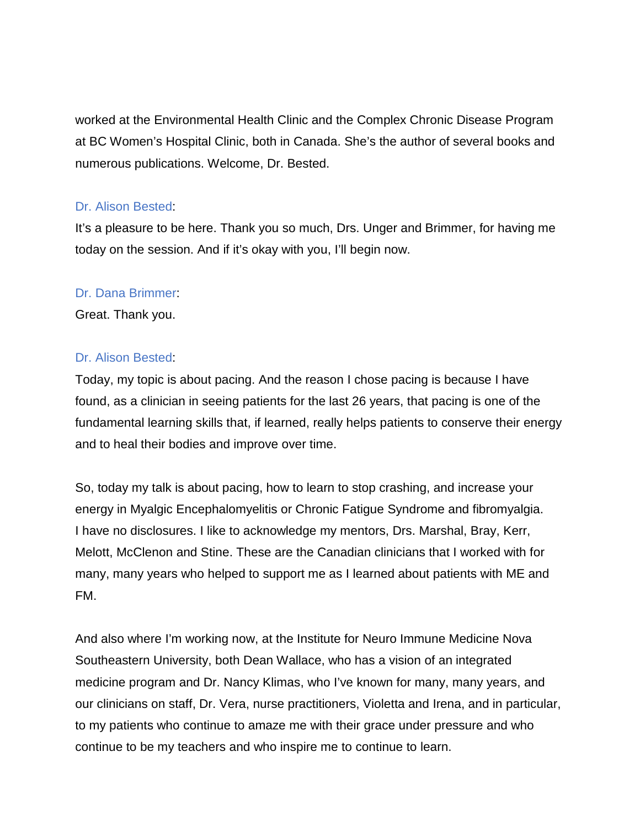worked at the Environmental Health Clinic and the Complex Chronic Disease Program at BC Women's Hospital Clinic, both in Canada. She's the author of several books and numerous publications. Welcome, Dr. Bested.

## Dr. Alison Bested:

It's a pleasure to be here. Thank you so much, Drs. Unger and Brimmer, for having me today on the session. And if it's okay with you, I'll begin now.

# Dr. Dana Brimmer:

Great. Thank you.

# Dr. Alison Bested:

Today, my topic is about pacing. And the reason I chose pacing is because I have found, as a clinician in seeing patients for the last 26 years, that pacing is one of the fundamental learning skills that, if learned, really helps patients to conserve their energy and to heal their bodies and improve over time.

So, today my talk is about pacing, how to learn to stop crashing, and increase your energy in Myalgic Encephalomyelitis or Chronic Fatigue Syndrome and fibromyalgia. I have no disclosures. I like to acknowledge my mentors, Drs. Marshal, Bray, Kerr, Melott, McClenon and Stine. These are the Canadian clinicians that I worked with for many, many years who helped to support me as I learned about patients with ME and FM.

And also where I'm working now, at the Institute for Neuro Immune Medicine Nova Southeastern University, both Dean Wallace, who has a vision of an integrated medicine program and Dr. Nancy Klimas, who I've known for many, many years, and our clinicians on staff, Dr. Vera, nurse practitioners, Violetta and Irena, and in particular, to my patients who continue to amaze me with their grace under pressure and who continue to be my teachers and who inspire me to continue to learn.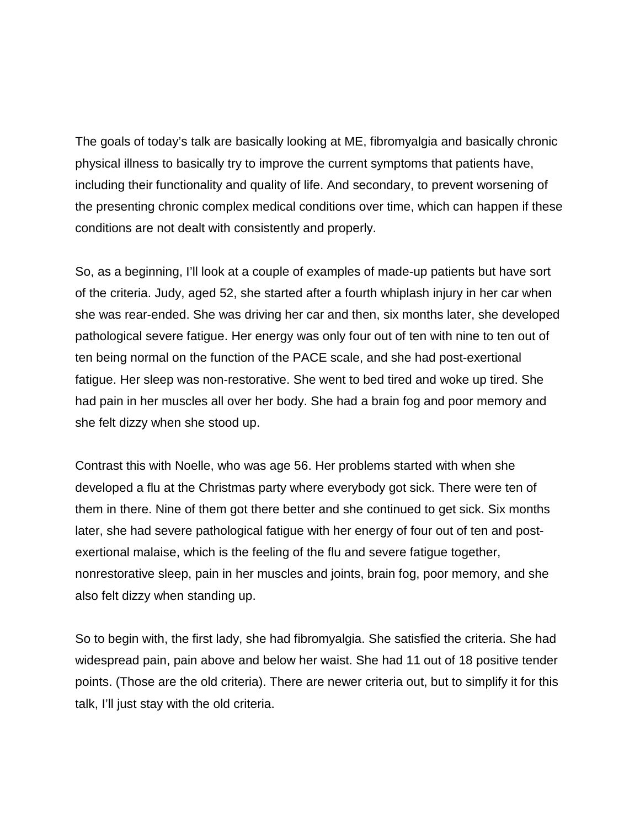The goals of today's talk are basically looking at ME, fibromyalgia and basically chronic physical illness to basically try to improve the current symptoms that patients have, including their functionality and quality of life. And secondary, to prevent worsening of the presenting chronic complex medical conditions over time, which can happen if these conditions are not dealt with consistently and properly.

So, as a beginning, I'll look at a couple of examples of made-up patients but have sort of the criteria. Judy, aged 52, she started after a fourth whiplash injury in her car when she was rear-ended. She was driving her car and then, six months later, she developed pathological severe fatigue. Her energy was only four out of ten with nine to ten out of ten being normal on the function of the PACE scale, and she had post-exertional fatigue. Her sleep was non-restorative. She went to bed tired and woke up tired. She had pain in her muscles all over her body. She had a brain fog and poor memory and she felt dizzy when she stood up.

Contrast this with Noelle, who was age 56. Her problems started with when she developed a flu at the Christmas party where everybody got sick. There were ten of them in there. Nine of them got there better and she continued to get sick. Six months later, she had severe pathological fatigue with her energy of four out of ten and postexertional malaise, which is the feeling of the flu and severe fatigue together, nonrestorative sleep, pain in her muscles and joints, brain fog, poor memory, and she also felt dizzy when standing up.

So to begin with, the first lady, she had fibromyalgia. She satisfied the criteria. She had widespread pain, pain above and below her waist. She had 11 out of 18 positive tender points. (Those are the old criteria). There are newer criteria out, but to simplify it for this talk, I'll just stay with the old criteria.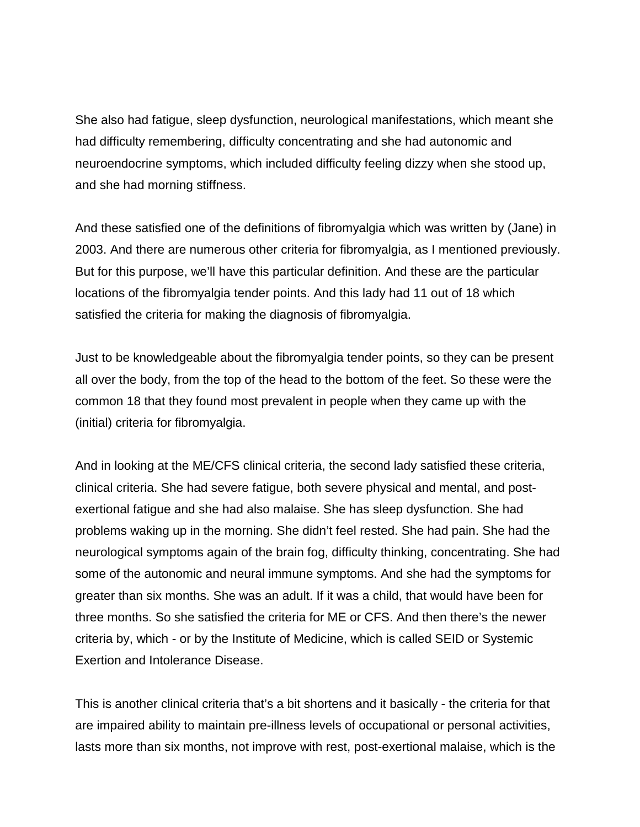She also had fatigue, sleep dysfunction, neurological manifestations, which meant she had difficulty remembering, difficulty concentrating and she had autonomic and neuroendocrine symptoms, which included difficulty feeling dizzy when she stood up, and she had morning stiffness.

And these satisfied one of the definitions of fibromyalgia which was written by (Jane) in 2003. And there are numerous other criteria for fibromyalgia, as I mentioned previously. But for this purpose, we'll have this particular definition. And these are the particular locations of the fibromyalgia tender points. And this lady had 11 out of 18 which satisfied the criteria for making the diagnosis of fibromyalgia.

Just to be knowledgeable about the fibromyalgia tender points, so they can be present all over the body, from the top of the head to the bottom of the feet. So these were the common 18 that they found most prevalent in people when they came up with the (initial) criteria for fibromyalgia.

And in looking at the ME/CFS clinical criteria, the second lady satisfied these criteria, clinical criteria. She had severe fatigue, both severe physical and mental, and postexertional fatigue and she had also malaise. She has sleep dysfunction. She had problems waking up in the morning. She didn't feel rested. She had pain. She had the neurological symptoms again of the brain fog, difficulty thinking, concentrating. She had some of the autonomic and neural immune symptoms. And she had the symptoms for greater than six months. She was an adult. If it was a child, that would have been for three months. So she satisfied the criteria for ME or CFS. And then there's the newer criteria by, which - or by the Institute of Medicine, which is called SEID or Systemic Exertion and Intolerance Disease.

This is another clinical criteria that's a bit shortens and it basically - the criteria for that are impaired ability to maintain pre-illness levels of occupational or personal activities, lasts more than six months, not improve with rest, post-exertional malaise, which is the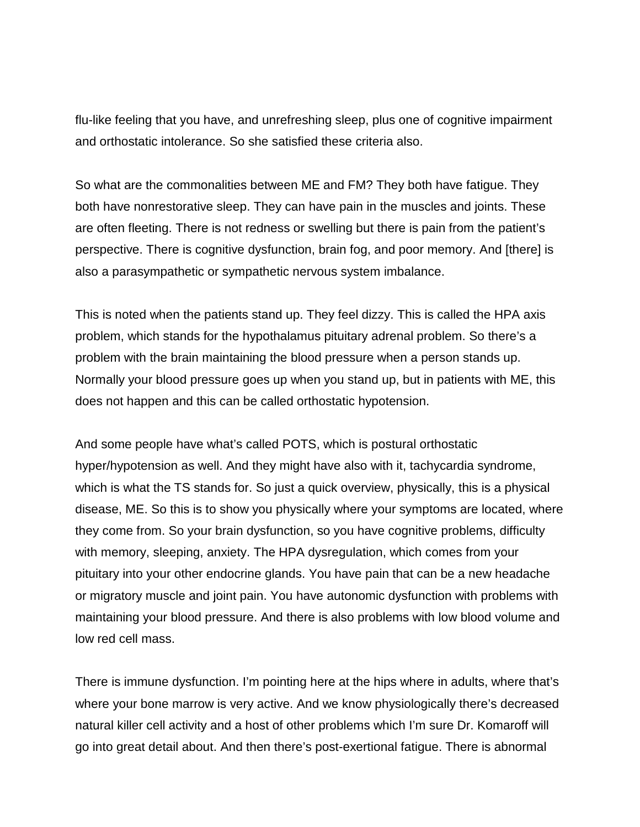flu-like feeling that you have, and unrefreshing sleep, plus one of cognitive impairment and orthostatic intolerance. So she satisfied these criteria also.

So what are the commonalities between ME and FM? They both have fatigue. They both have nonrestorative sleep. They can have pain in the muscles and joints. These are often fleeting. There is not redness or swelling but there is pain from the patient's perspective. There is cognitive dysfunction, brain fog, and poor memory. And [there] is also a parasympathetic or sympathetic nervous system imbalance.

This is noted when the patients stand up. They feel dizzy. This is called the HPA axis problem, which stands for the hypothalamus pituitary adrenal problem. So there's a problem with the brain maintaining the blood pressure when a person stands up. Normally your blood pressure goes up when you stand up, but in patients with ME, this does not happen and this can be called orthostatic hypotension.

And some people have what's called POTS, which is postural orthostatic hyper/hypotension as well. And they might have also with it, tachycardia syndrome, which is what the TS stands for. So just a quick overview, physically, this is a physical disease, ME. So this is to show you physically where your symptoms are located, where they come from. So your brain dysfunction, so you have cognitive problems, difficulty with memory, sleeping, anxiety. The HPA dysregulation, which comes from your pituitary into your other endocrine glands. You have pain that can be a new headache or migratory muscle and joint pain. You have autonomic dysfunction with problems with maintaining your blood pressure. And there is also problems with low blood volume and low red cell mass.

There is immune dysfunction. I'm pointing here at the hips where in adults, where that's where your bone marrow is very active. And we know physiologically there's decreased natural killer cell activity and a host of other problems which I'm sure Dr. Komaroff will go into great detail about. And then there's post-exertional fatigue. There is abnormal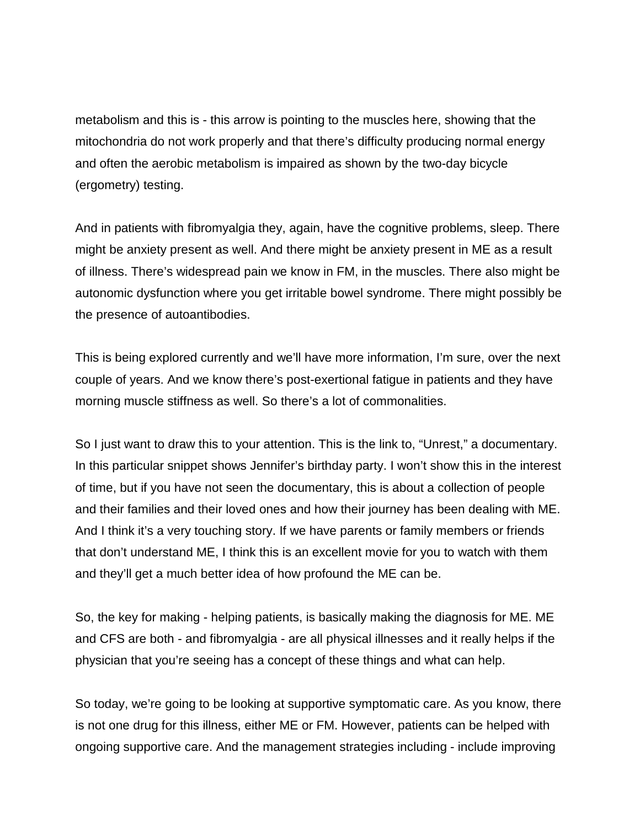metabolism and this is - this arrow is pointing to the muscles here, showing that the mitochondria do not work properly and that there's difficulty producing normal energy and often the aerobic metabolism is impaired as shown by the two-day bicycle (ergometry) testing.

And in patients with fibromyalgia they, again, have the cognitive problems, sleep. There might be anxiety present as well. And there might be anxiety present in ME as a result of illness. There's widespread pain we know in FM, in the muscles. There also might be autonomic dysfunction where you get irritable bowel syndrome. There might possibly be the presence of autoantibodies.

This is being explored currently and we'll have more information, I'm sure, over the next couple of years. And we know there's post-exertional fatigue in patients and they have morning muscle stiffness as well. So there's a lot of commonalities.

So I just want to draw this to your attention. This is the link to, "Unrest," a documentary. In this particular snippet shows Jennifer's birthday party. I won't show this in the interest of time, but if you have not seen the documentary, this is about a collection of people and their families and their loved ones and how their journey has been dealing with ME. And I think it's a very touching story. If we have parents or family members or friends that don't understand ME, I think this is an excellent movie for you to watch with them and they'll get a much better idea of how profound the ME can be.

So, the key for making - helping patients, is basically making the diagnosis for ME. ME and CFS are both - and fibromyalgia - are all physical illnesses and it really helps if the physician that you're seeing has a concept of these things and what can help.

So today, we're going to be looking at supportive symptomatic care. As you know, there is not one drug for this illness, either ME or FM. However, patients can be helped with ongoing supportive care. And the management strategies including - include improving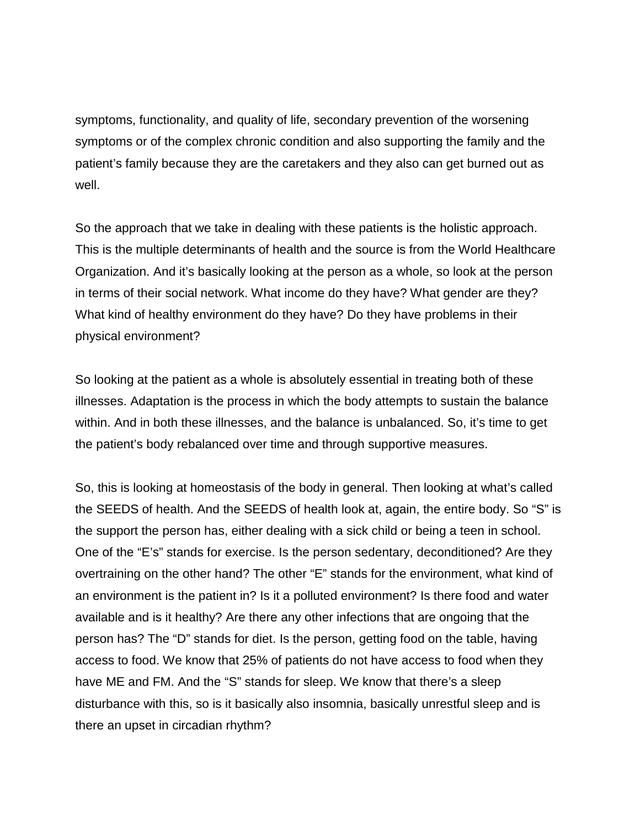symptoms, functionality, and quality of life, secondary prevention of the worsening symptoms or of the complex chronic condition and also supporting the family and the patient's family because they are the caretakers and they also can get burned out as well.

So the approach that we take in dealing with these patients is the holistic approach. This is the multiple determinants of health and the source is from the World Healthcare Organization. And it's basically looking at the person as a whole, so look at the person in terms of their social network. What income do they have? What gender are they? What kind of healthy environment do they have? Do they have problems in their physical environment?

So looking at the patient as a whole is absolutely essential in treating both of these illnesses. Adaptation is the process in which the body attempts to sustain the balance within. And in both these illnesses, and the balance is unbalanced. So, it's time to get the patient's body rebalanced over time and through supportive measures.

So, this is looking at homeostasis of the body in general. Then looking at what's called the SEEDS of health. And the SEEDS of health look at, again, the entire body. So "S" is the support the person has, either dealing with a sick child or being a teen in school. One of the "E's" stands for exercise. Is the person sedentary, deconditioned? Are they overtraining on the other hand? The other "E" stands for the environment, what kind of an environment is the patient in? Is it a polluted environment? Is there food and water available and is it healthy? Are there any other infections that are ongoing that the person has? The "D" stands for diet. Is the person, getting food on the table, having access to food. We know that 25% of patients do not have access to food when they have ME and FM. And the "S" stands for sleep. We know that there's a sleep disturbance with this, so is it basically also insomnia, basically unrestful sleep and is there an upset in circadian rhythm?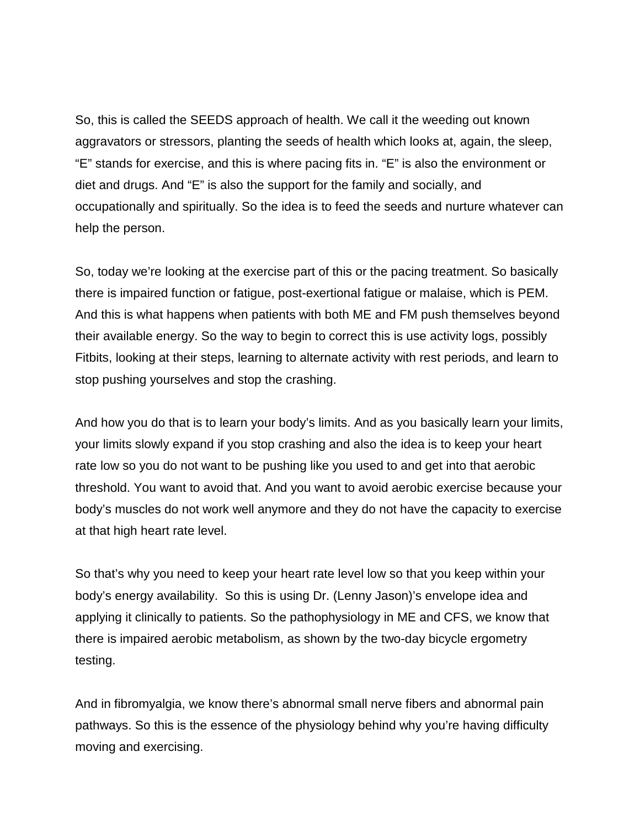So, this is called the SEEDS approach of health. We call it the weeding out known aggravators or stressors, planting the seeds of health which looks at, again, the sleep, "E" stands for exercise, and this is where pacing fits in. "E" is also the environment or diet and drugs. And "E" is also the support for the family and socially, and occupationally and spiritually. So the idea is to feed the seeds and nurture whatever can help the person.

So, today we're looking at the exercise part of this or the pacing treatment. So basically there is impaired function or fatigue, post-exertional fatigue or malaise, which is PEM. And this is what happens when patients with both ME and FM push themselves beyond their available energy. So the way to begin to correct this is use activity logs, possibly Fitbits, looking at their steps, learning to alternate activity with rest periods, and learn to stop pushing yourselves and stop the crashing.

And how you do that is to learn your body's limits. And as you basically learn your limits, your limits slowly expand if you stop crashing and also the idea is to keep your heart rate low so you do not want to be pushing like you used to and get into that aerobic threshold. You want to avoid that. And you want to avoid aerobic exercise because your body's muscles do not work well anymore and they do not have the capacity to exercise at that high heart rate level.

So that's why you need to keep your heart rate level low so that you keep within your body's energy availability. So this is using Dr. (Lenny Jason)'s envelope idea and applying it clinically to patients. So the pathophysiology in ME and CFS, we know that there is impaired aerobic metabolism, as shown by the two-day bicycle ergometry testing.

And in fibromyalgia, we know there's abnormal small nerve fibers and abnormal pain pathways. So this is the essence of the physiology behind why you're having difficulty moving and exercising.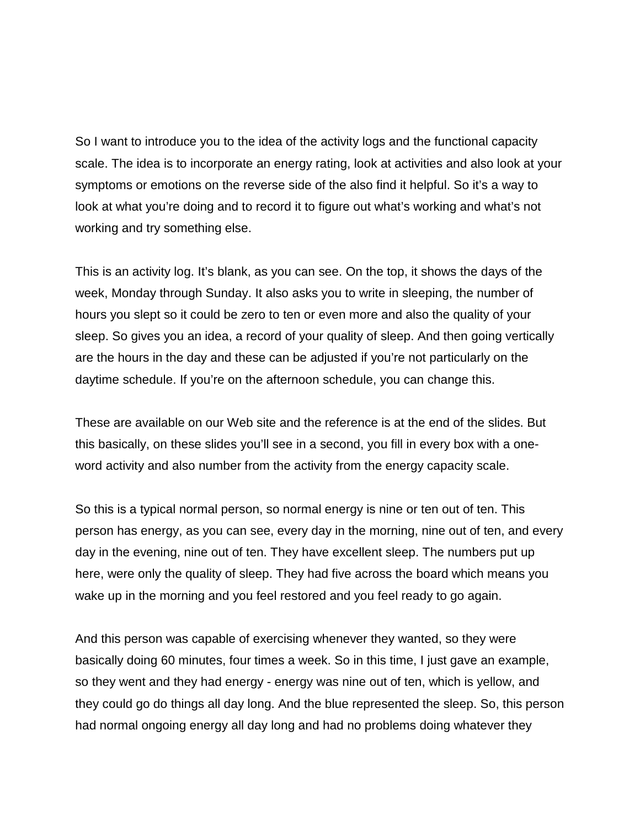So I want to introduce you to the idea of the activity logs and the functional capacity scale. The idea is to incorporate an energy rating, look at activities and also look at your symptoms or emotions on the reverse side of the also find it helpful. So it's a way to look at what you're doing and to record it to figure out what's working and what's not working and try something else.

This is an activity log. It's blank, as you can see. On the top, it shows the days of the week, Monday through Sunday. It also asks you to write in sleeping, the number of hours you slept so it could be zero to ten or even more and also the quality of your sleep. So gives you an idea, a record of your quality of sleep. And then going vertically are the hours in the day and these can be adjusted if you're not particularly on the daytime schedule. If you're on the afternoon schedule, you can change this.

These are available on our Web site and the reference is at the end of the slides. But this basically, on these slides you'll see in a second, you fill in every box with a oneword activity and also number from the activity from the energy capacity scale.

So this is a typical normal person, so normal energy is nine or ten out of ten. This person has energy, as you can see, every day in the morning, nine out of ten, and every day in the evening, nine out of ten. They have excellent sleep. The numbers put up here, were only the quality of sleep. They had five across the board which means you wake up in the morning and you feel restored and you feel ready to go again.

And this person was capable of exercising whenever they wanted, so they were basically doing 60 minutes, four times a week. So in this time, I just gave an example, so they went and they had energy - energy was nine out of ten, which is yellow, and they could go do things all day long. And the blue represented the sleep. So, this person had normal ongoing energy all day long and had no problems doing whatever they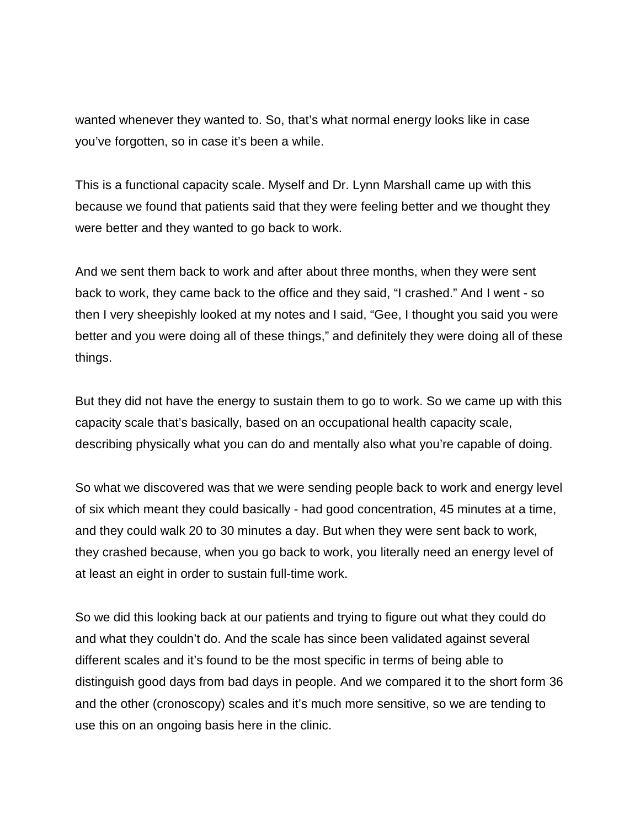wanted whenever they wanted to. So, that's what normal energy looks like in case you've forgotten, so in case it's been a while.

This is a functional capacity scale. Myself and Dr. Lynn Marshall came up with this because we found that patients said that they were feeling better and we thought they were better and they wanted to go back to work.

And we sent them back to work and after about three months, when they were sent back to work, they came back to the office and they said, "I crashed." And I went - so then I very sheepishly looked at my notes and I said, "Gee, I thought you said you were better and you were doing all of these things," and definitely they were doing all of these things.

But they did not have the energy to sustain them to go to work. So we came up with this capacity scale that's basically, based on an occupational health capacity scale, describing physically what you can do and mentally also what you're capable of doing.

So what we discovered was that we were sending people back to work and energy level of six which meant they could basically - had good concentration, 45 minutes at a time, and they could walk 20 to 30 minutes a day. But when they were sent back to work, they crashed because, when you go back to work, you literally need an energy level of at least an eight in order to sustain full-time work.

So we did this looking back at our patients and trying to figure out what they could do and what they couldn't do. And the scale has since been validated against several different scales and it's found to be the most specific in terms of being able to distinguish good days from bad days in people. And we compared it to the short form 36 and the other (cronoscopy) scales and it's much more sensitive, so we are tending to use this on an ongoing basis here in the clinic.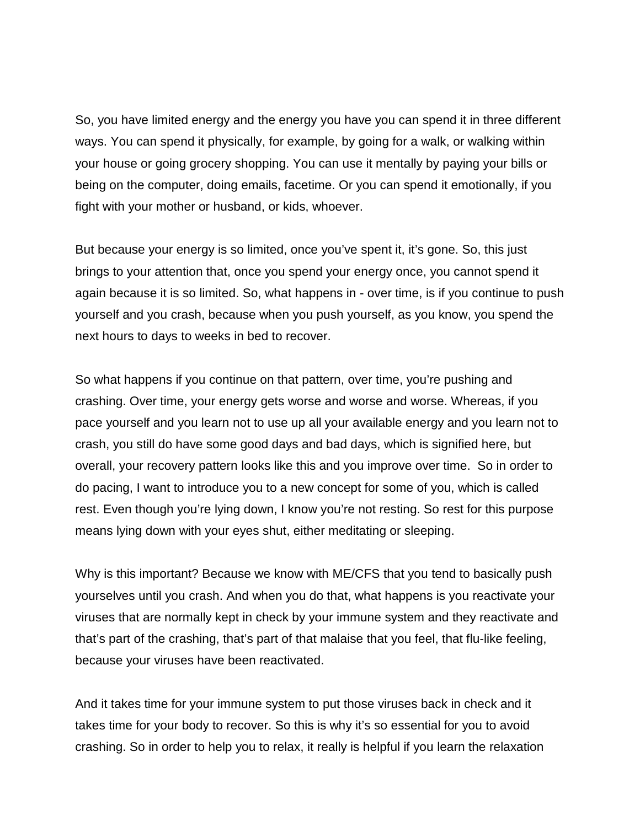So, you have limited energy and the energy you have you can spend it in three different ways. You can spend it physically, for example, by going for a walk, or walking within your house or going grocery shopping. You can use it mentally by paying your bills or being on the computer, doing emails, facetime. Or you can spend it emotionally, if you fight with your mother or husband, or kids, whoever.

But because your energy is so limited, once you've spent it, it's gone. So, this just brings to your attention that, once you spend your energy once, you cannot spend it again because it is so limited. So, what happens in - over time, is if you continue to push yourself and you crash, because when you push yourself, as you know, you spend the next hours to days to weeks in bed to recover.

So what happens if you continue on that pattern, over time, you're pushing and crashing. Over time, your energy gets worse and worse and worse. Whereas, if you pace yourself and you learn not to use up all your available energy and you learn not to crash, you still do have some good days and bad days, which is signified here, but overall, your recovery pattern looks like this and you improve over time. So in order to do pacing, I want to introduce you to a new concept for some of you, which is called rest. Even though you're lying down, I know you're not resting. So rest for this purpose means lying down with your eyes shut, either meditating or sleeping.

Why is this important? Because we know with ME/CFS that you tend to basically push yourselves until you crash. And when you do that, what happens is you reactivate your viruses that are normally kept in check by your immune system and they reactivate and that's part of the crashing, that's part of that malaise that you feel, that flu-like feeling, because your viruses have been reactivated.

And it takes time for your immune system to put those viruses back in check and it takes time for your body to recover. So this is why it's so essential for you to avoid crashing. So in order to help you to relax, it really is helpful if you learn the relaxation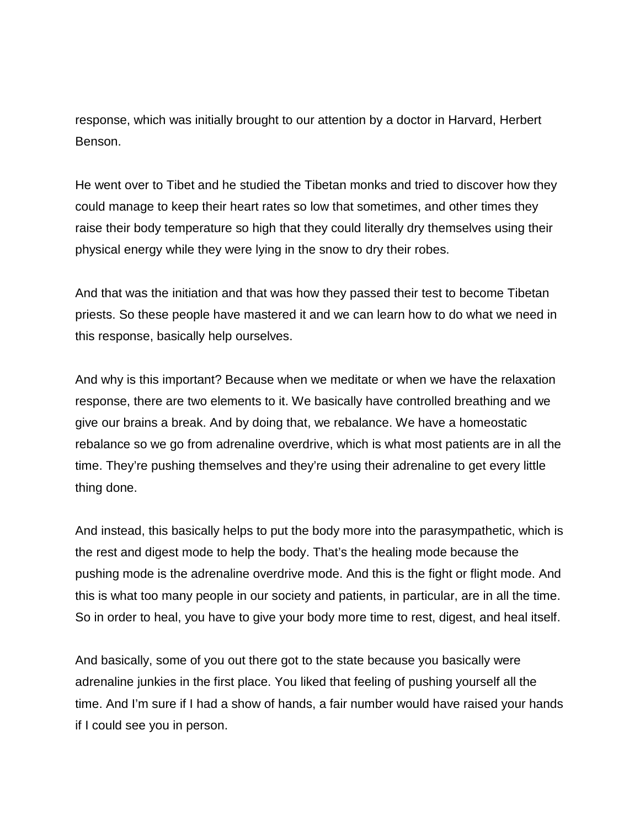response, which was initially brought to our attention by a doctor in Harvard, Herbert Benson.

He went over to Tibet and he studied the Tibetan monks and tried to discover how they could manage to keep their heart rates so low that sometimes, and other times they raise their body temperature so high that they could literally dry themselves using their physical energy while they were lying in the snow to dry their robes.

And that was the initiation and that was how they passed their test to become Tibetan priests. So these people have mastered it and we can learn how to do what we need in this response, basically help ourselves.

And why is this important? Because when we meditate or when we have the relaxation response, there are two elements to it. We basically have controlled breathing and we give our brains a break. And by doing that, we rebalance. We have a homeostatic rebalance so we go from adrenaline overdrive, which is what most patients are in all the time. They're pushing themselves and they're using their adrenaline to get every little thing done.

And instead, this basically helps to put the body more into the parasympathetic, which is the rest and digest mode to help the body. That's the healing mode because the pushing mode is the adrenaline overdrive mode. And this is the fight or flight mode. And this is what too many people in our society and patients, in particular, are in all the time. So in order to heal, you have to give your body more time to rest, digest, and heal itself.

And basically, some of you out there got to the state because you basically were adrenaline junkies in the first place. You liked that feeling of pushing yourself all the time. And I'm sure if I had a show of hands, a fair number would have raised your hands if I could see you in person.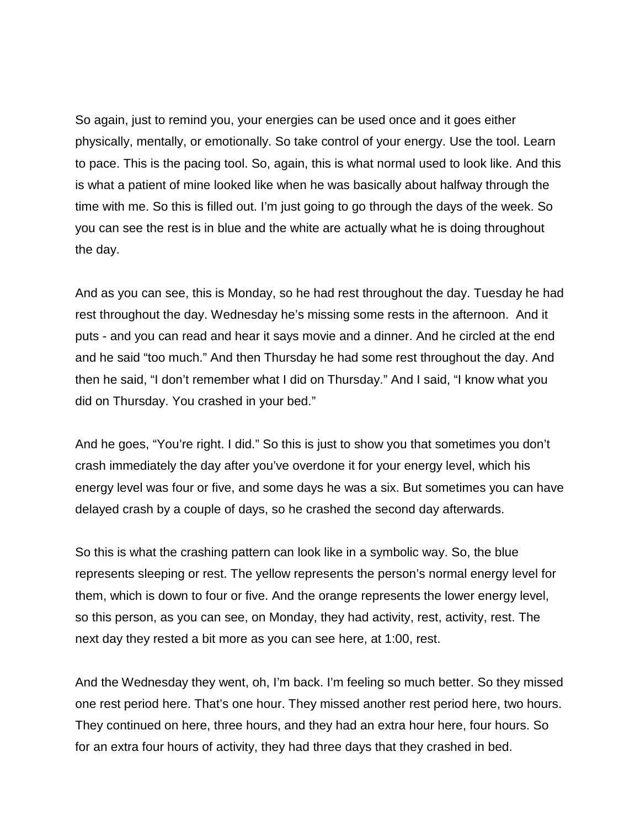So again, just to remind you, your energies can be used once and it goes either physically, mentally, or emotionally. So take control of your energy. Use the tool. Learn to pace. This is the pacing tool. So, again, this is what normal used to look like. And this is what a patient of mine looked like when he was basically about halfway through the time with me. So this is filled out. I'm just going to go through the days of the week. So you can see the rest is in blue and the white are actually what he is doing throughout the day.

And as you can see, this is Monday, so he had rest throughout the day. Tuesday he had rest throughout the day. Wednesday he's missing some rests in the afternoon. And it puts - and you can read and hear it says movie and a dinner. And he circled at the end and he said "too much." And then Thursday he had some rest throughout the day. And then he said, "I don't remember what I did on Thursday." And I said, "I know what you did on Thursday. You crashed in your bed."

And he goes, "You're right. I did." So this is just to show you that sometimes you don't crash immediately the day after you've overdone it for your energy level, which his energy level was four or five, and some days he was a six. But sometimes you can have delayed crash by a couple of days, so he crashed the second day afterwards.

So this is what the crashing pattern can look like in a symbolic way. So, the blue represents sleeping or rest. The yellow represents the person's normal energy level for them, which is down to four or five. And the orange represents the lower energy level, so this person, as you can see, on Monday, they had activity, rest, activity, rest. The next day they rested a bit more as you can see here, at 1:00, rest.

And the Wednesday they went, oh, I'm back. I'm feeling so much better. So they missed one rest period here. That's one hour. They missed another rest period here, two hours. They continued on here, three hours, and they had an extra hour here, four hours. So for an extra four hours of activity, they had three days that they crashed in bed.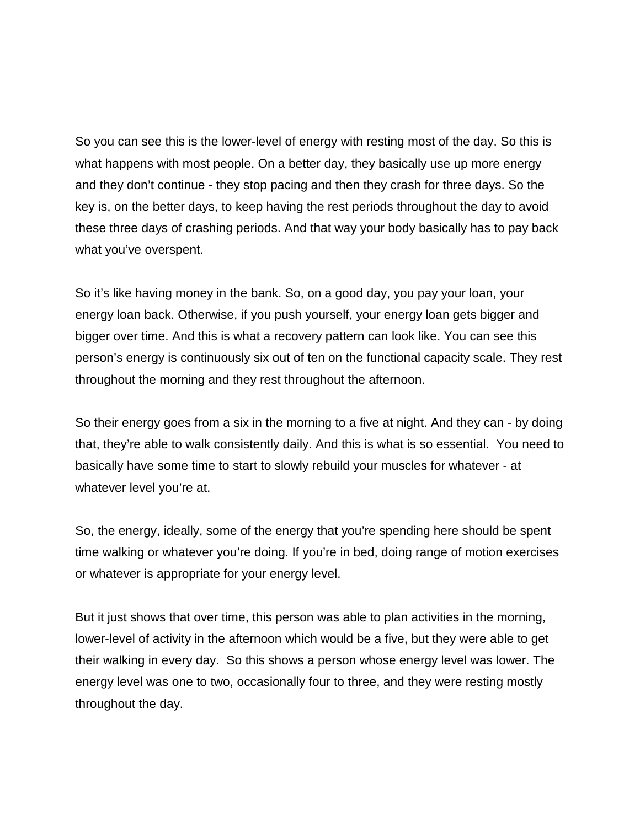So you can see this is the lower-level of energy with resting most of the day. So this is what happens with most people. On a better day, they basically use up more energy and they don't continue - they stop pacing and then they crash for three days. So the key is, on the better days, to keep having the rest periods throughout the day to avoid these three days of crashing periods. And that way your body basically has to pay back what you've overspent.

So it's like having money in the bank. So, on a good day, you pay your loan, your energy loan back. Otherwise, if you push yourself, your energy loan gets bigger and bigger over time. And this is what a recovery pattern can look like. You can see this person's energy is continuously six out of ten on the functional capacity scale. They rest throughout the morning and they rest throughout the afternoon.

So their energy goes from a six in the morning to a five at night. And they can - by doing that, they're able to walk consistently daily. And this is what is so essential. You need to basically have some time to start to slowly rebuild your muscles for whatever - at whatever level you're at.

So, the energy, ideally, some of the energy that you're spending here should be spent time walking or whatever you're doing. If you're in bed, doing range of motion exercises or whatever is appropriate for your energy level.

But it just shows that over time, this person was able to plan activities in the morning, lower-level of activity in the afternoon which would be a five, but they were able to get their walking in every day. So this shows a person whose energy level was lower. The energy level was one to two, occasionally four to three, and they were resting mostly throughout the day.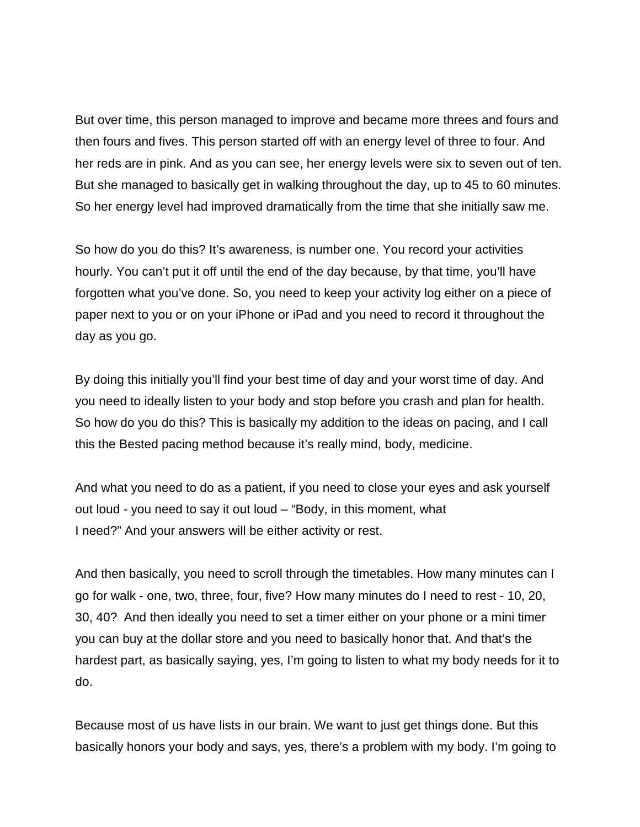But over time, this person managed to improve and became more threes and fours and then fours and fives. This person started off with an energy level of three to four. And her reds are in pink. And as you can see, her energy levels were six to seven out of ten. But she managed to basically get in walking throughout the day, up to 45 to 60 minutes. So her energy level had improved dramatically from the time that she initially saw me.

So how do you do this? It's awareness, is number one. You record your activities hourly. You can't put it off until the end of the day because, by that time, you'll have forgotten what you've done. So, you need to keep your activity log either on a piece of paper next to you or on your iPhone or iPad and you need to record it throughout the day as you go.

By doing this initially you'll find your best time of day and your worst time of day. And you need to ideally listen to your body and stop before you crash and plan for health. So how do you do this? This is basically my addition to the ideas on pacing, and I call this the Bested pacing method because it's really mind, body, medicine.

And what you need to do as a patient, if you need to close your eyes and ask yourself out loud - you need to say it out loud – "Body, in this moment, what I need?" And your answers will be either activity or rest.

And then basically, you need to scroll through the timetables. How many minutes can I go for walk - one, two, three, four, five? How many minutes do I need to rest - 10, 20, 30, 40? And then ideally you need to set a timer either on your phone or a mini timer you can buy at the dollar store and you need to basically honor that. And that's the hardest part, as basically saying, yes, I'm going to listen to what my body needs for it to do.

Because most of us have lists in our brain. We want to just get things done. But this basically honors your body and says, yes, there's a problem with my body. I'm going to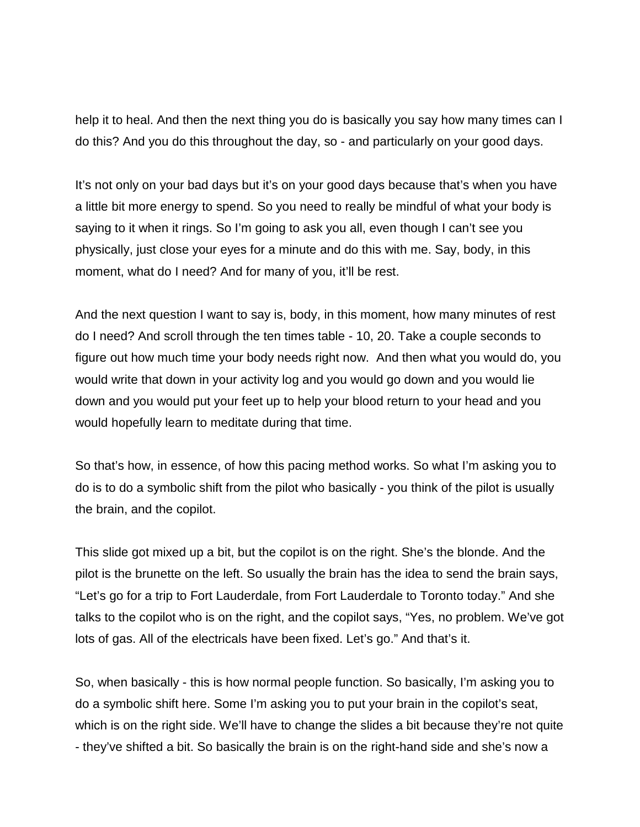help it to heal. And then the next thing you do is basically you say how many times can I do this? And you do this throughout the day, so - and particularly on your good days.

It's not only on your bad days but it's on your good days because that's when you have a little bit more energy to spend. So you need to really be mindful of what your body is saying to it when it rings. So I'm going to ask you all, even though I can't see you physically, just close your eyes for a minute and do this with me. Say, body, in this moment, what do I need? And for many of you, it'll be rest.

And the next question I want to say is, body, in this moment, how many minutes of rest do I need? And scroll through the ten times table - 10, 20. Take a couple seconds to figure out how much time your body needs right now. And then what you would do, you would write that down in your activity log and you would go down and you would lie down and you would put your feet up to help your blood return to your head and you would hopefully learn to meditate during that time.

So that's how, in essence, of how this pacing method works. So what I'm asking you to do is to do a symbolic shift from the pilot who basically - you think of the pilot is usually the brain, and the copilot.

This slide got mixed up a bit, but the copilot is on the right. She's the blonde. And the pilot is the brunette on the left. So usually the brain has the idea to send the brain says, "Let's go for a trip to Fort Lauderdale, from Fort Lauderdale to Toronto today." And she talks to the copilot who is on the right, and the copilot says, "Yes, no problem. We've got lots of gas. All of the electricals have been fixed. Let's go." And that's it.

So, when basically - this is how normal people function. So basically, I'm asking you to do a symbolic shift here. Some I'm asking you to put your brain in the copilot's seat, which is on the right side. We'll have to change the slides a bit because they're not quite - they've shifted a bit. So basically the brain is on the right-hand side and she's now a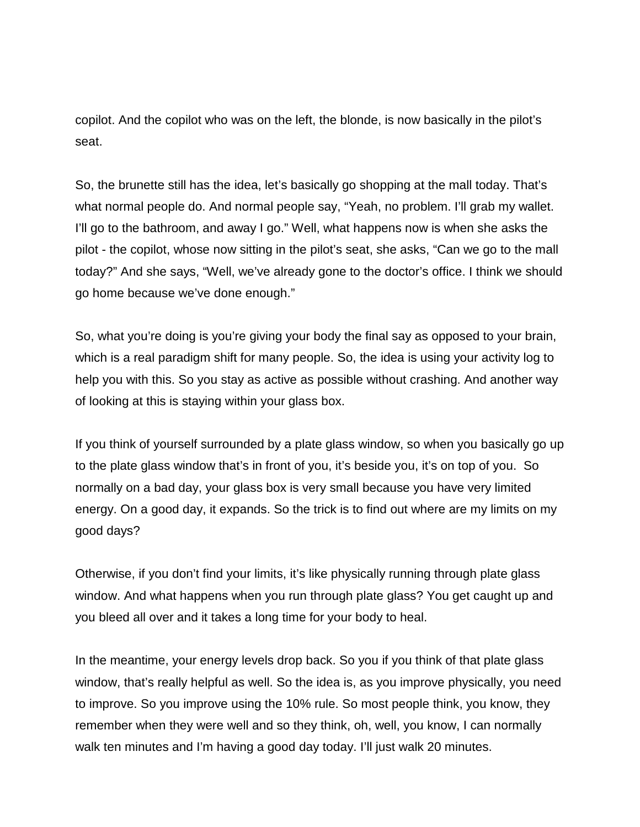copilot. And the copilot who was on the left, the blonde, is now basically in the pilot's seat.

So, the brunette still has the idea, let's basically go shopping at the mall today. That's what normal people do. And normal people say, "Yeah, no problem. I'll grab my wallet. I'll go to the bathroom, and away I go." Well, what happens now is when she asks the pilot - the copilot, whose now sitting in the pilot's seat, she asks, "Can we go to the mall today?" And she says, "Well, we've already gone to the doctor's office. I think we should go home because we've done enough."

So, what you're doing is you're giving your body the final say as opposed to your brain, which is a real paradigm shift for many people. So, the idea is using your activity log to help you with this. So you stay as active as possible without crashing. And another way of looking at this is staying within your glass box.

If you think of yourself surrounded by a plate glass window, so when you basically go up to the plate glass window that's in front of you, it's beside you, it's on top of you. So normally on a bad day, your glass box is very small because you have very limited energy. On a good day, it expands. So the trick is to find out where are my limits on my good days?

Otherwise, if you don't find your limits, it's like physically running through plate glass window. And what happens when you run through plate glass? You get caught up and you bleed all over and it takes a long time for your body to heal.

In the meantime, your energy levels drop back. So you if you think of that plate glass window, that's really helpful as well. So the idea is, as you improve physically, you need to improve. So you improve using the 10% rule. So most people think, you know, they remember when they were well and so they think, oh, well, you know, I can normally walk ten minutes and I'm having a good day today. I'll just walk 20 minutes.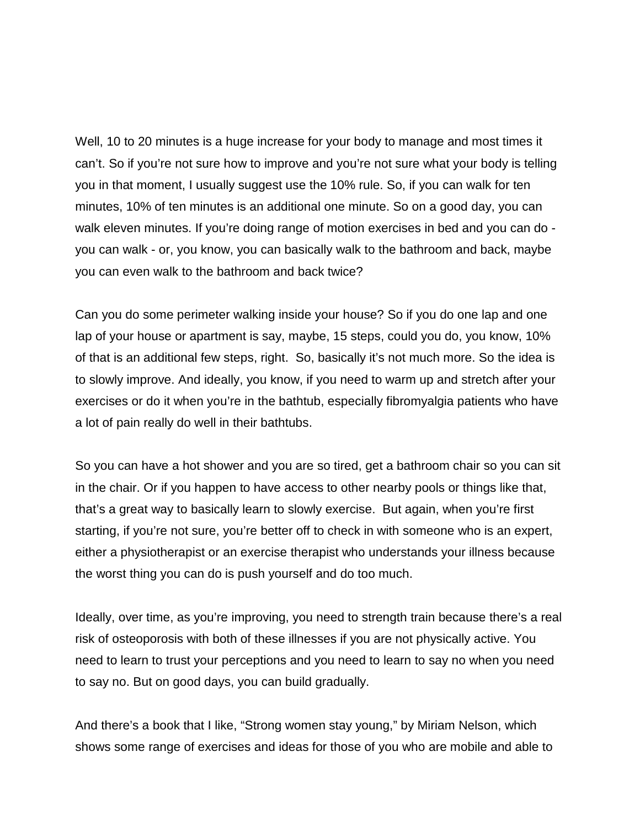Well, 10 to 20 minutes is a huge increase for your body to manage and most times it can't. So if you're not sure how to improve and you're not sure what your body is telling you in that moment, I usually suggest use the 10% rule. So, if you can walk for ten minutes, 10% of ten minutes is an additional one minute. So on a good day, you can walk eleven minutes. If you're doing range of motion exercises in bed and you can do you can walk - or, you know, you can basically walk to the bathroom and back, maybe you can even walk to the bathroom and back twice?

Can you do some perimeter walking inside your house? So if you do one lap and one lap of your house or apartment is say, maybe, 15 steps, could you do, you know, 10% of that is an additional few steps, right. So, basically it's not much more. So the idea is to slowly improve. And ideally, you know, if you need to warm up and stretch after your exercises or do it when you're in the bathtub, especially fibromyalgia patients who have a lot of pain really do well in their bathtubs.

So you can have a hot shower and you are so tired, get a bathroom chair so you can sit in the chair. Or if you happen to have access to other nearby pools or things like that, that's a great way to basically learn to slowly exercise. But again, when you're first starting, if you're not sure, you're better off to check in with someone who is an expert, either a physiotherapist or an exercise therapist who understands your illness because the worst thing you can do is push yourself and do too much.

Ideally, over time, as you're improving, you need to strength train because there's a real risk of osteoporosis with both of these illnesses if you are not physically active. You need to learn to trust your perceptions and you need to learn to say no when you need to say no. But on good days, you can build gradually.

And there's a book that I like, "Strong women stay young," by Miriam Nelson, which shows some range of exercises and ideas for those of you who are mobile and able to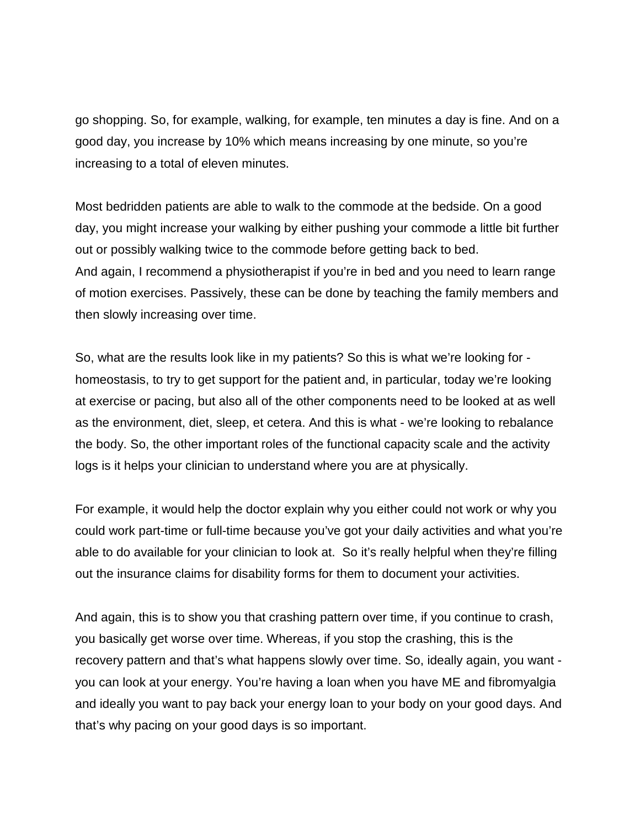go shopping. So, for example, walking, for example, ten minutes a day is fine. And on a good day, you increase by 10% which means increasing by one minute, so you're increasing to a total of eleven minutes.

Most bedridden patients are able to walk to the commode at the bedside. On a good day, you might increase your walking by either pushing your commode a little bit further out or possibly walking twice to the commode before getting back to bed. And again, I recommend a physiotherapist if you're in bed and you need to learn range of motion exercises. Passively, these can be done by teaching the family members and then slowly increasing over time.

So, what are the results look like in my patients? So this is what we're looking for homeostasis, to try to get support for the patient and, in particular, today we're looking at exercise or pacing, but also all of the other components need to be looked at as well as the environment, diet, sleep, et cetera. And this is what - we're looking to rebalance the body. So, the other important roles of the functional capacity scale and the activity logs is it helps your clinician to understand where you are at physically.

For example, it would help the doctor explain why you either could not work or why you could work part-time or full-time because you've got your daily activities and what you're able to do available for your clinician to look at. So it's really helpful when they're filling out the insurance claims for disability forms for them to document your activities.

And again, this is to show you that crashing pattern over time, if you continue to crash, you basically get worse over time. Whereas, if you stop the crashing, this is the recovery pattern and that's what happens slowly over time. So, ideally again, you want you can look at your energy. You're having a loan when you have ME and fibromyalgia and ideally you want to pay back your energy loan to your body on your good days. And that's why pacing on your good days is so important.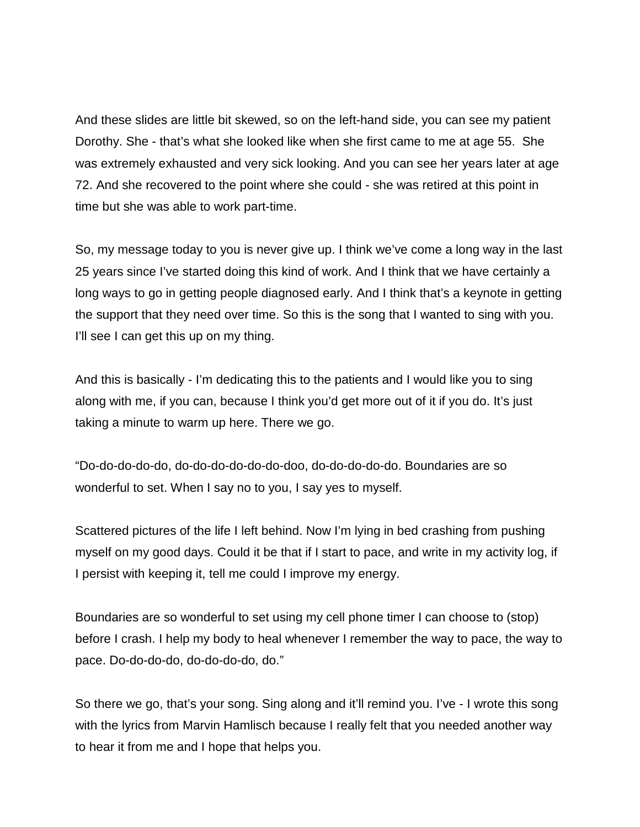And these slides are little bit skewed, so on the left-hand side, you can see my patient Dorothy. She - that's what she looked like when she first came to me at age 55. She was extremely exhausted and very sick looking. And you can see her years later at age 72. And she recovered to the point where she could - she was retired at this point in time but she was able to work part-time.

So, my message today to you is never give up. I think we've come a long way in the last 25 years since I've started doing this kind of work. And I think that we have certainly a long ways to go in getting people diagnosed early. And I think that's a keynote in getting the support that they need over time. So this is the song that I wanted to sing with you. I'll see I can get this up on my thing.

And this is basically - I'm dedicating this to the patients and I would like you to sing along with me, if you can, because I think you'd get more out of it if you do. It's just taking a minute to warm up here. There we go.

"Do-do-do-do-do, do-do-do-do-do-do-doo, do-do-do-do-do. Boundaries are so wonderful to set. When I say no to you, I say yes to myself.

Scattered pictures of the life I left behind. Now I'm lying in bed crashing from pushing myself on my good days. Could it be that if I start to pace, and write in my activity log, if I persist with keeping it, tell me could I improve my energy.

Boundaries are so wonderful to set using my cell phone timer I can choose to (stop) before I crash. I help my body to heal whenever I remember the way to pace, the way to pace. Do-do-do-do, do-do-do-do, do."

So there we go, that's your song. Sing along and it'll remind you. I've - I wrote this song with the lyrics from Marvin Hamlisch because I really felt that you needed another way to hear it from me and I hope that helps you.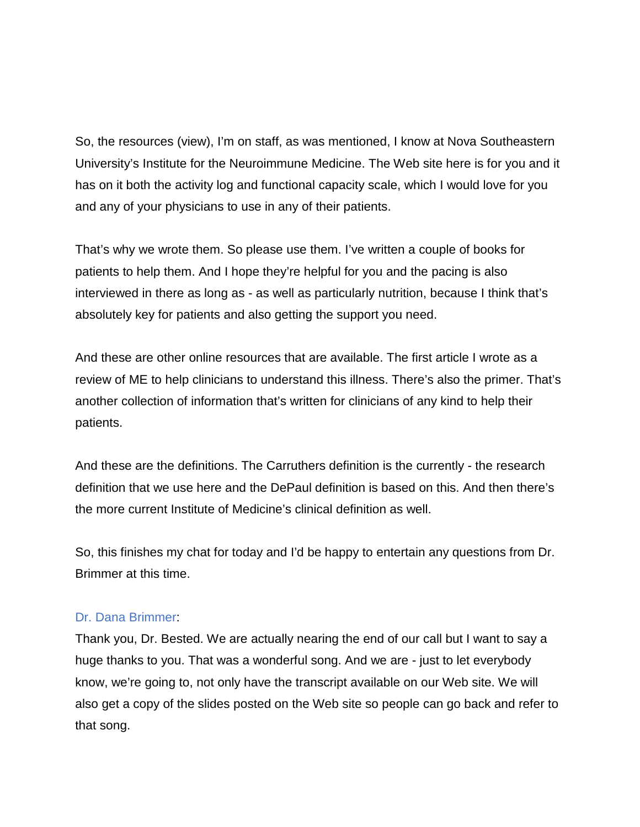So, the resources (view), I'm on staff, as was mentioned, I know at Nova Southeastern University's Institute for the Neuroimmune Medicine. The Web site here is for you and it has on it both the activity log and functional capacity scale, which I would love for you and any of your physicians to use in any of their patients.

That's why we wrote them. So please use them. I've written a couple of books for patients to help them. And I hope they're helpful for you and the pacing is also interviewed in there as long as - as well as particularly nutrition, because I think that's absolutely key for patients and also getting the support you need.

And these are other online resources that are available. The first article I wrote as a review of ME to help clinicians to understand this illness. There's also the primer. That's another collection of information that's written for clinicians of any kind to help their patients.

And these are the definitions. The Carruthers definition is the currently - the research definition that we use here and the DePaul definition is based on this. And then there's the more current Institute of Medicine's clinical definition as well.

So, this finishes my chat for today and I'd be happy to entertain any questions from Dr. Brimmer at this time.

### Dr. Dana Brimmer:

Thank you, Dr. Bested. We are actually nearing the end of our call but I want to say a huge thanks to you. That was a wonderful song. And we are - just to let everybody know, we're going to, not only have the transcript available on our Web site. We will also get a copy of the slides posted on the Web site so people can go back and refer to that song.